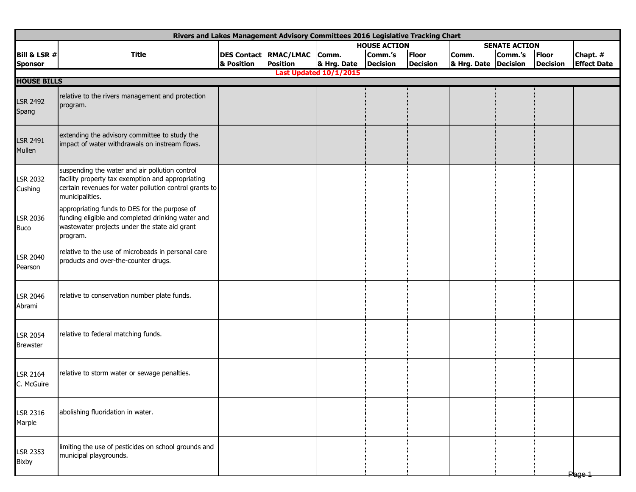| Rivers and Lakes Management Advisory Committees 2016 Legislative Tracking Chart |                                                                                                                                                                                  |                     |                              |             |                 |                 |                      |         |                 |                    |  |  |
|---------------------------------------------------------------------------------|----------------------------------------------------------------------------------------------------------------------------------------------------------------------------------|---------------------|------------------------------|-------------|-----------------|-----------------|----------------------|---------|-----------------|--------------------|--|--|
|                                                                                 |                                                                                                                                                                                  | <b>HOUSE ACTION</b> |                              |             |                 |                 | <b>SENATE ACTION</b> |         |                 |                    |  |  |
| <b>Bill &amp; LSR #</b>                                                         | <b>Title</b>                                                                                                                                                                     |                     | <b>DES Contact RMAC/LMAC</b> | Comm.       | Comm.'s         | Floor           | Comm.                | Comm.'s | Floor           | Chapt. #           |  |  |
| <b>Sponsor</b>                                                                  |                                                                                                                                                                                  | & Position          | <b>Position</b>              | & Hrg. Date | <b>Decision</b> | <b>Decision</b> | & Hrg. Date Decision |         | <b>Decision</b> | <b>Effect Date</b> |  |  |
| <b>Last Updated 10/1/2015</b><br><b>HOUSE BILLS</b>                             |                                                                                                                                                                                  |                     |                              |             |                 |                 |                      |         |                 |                    |  |  |
| <b>LSR 2492</b><br>Spang                                                        | relative to the rivers management and protection<br>program.                                                                                                                     |                     |                              |             |                 |                 |                      |         |                 |                    |  |  |
| LSR 2491<br>Mullen                                                              | extending the advisory committee to study the<br>impact of water withdrawals on instream flows.                                                                                  |                     |                              |             |                 |                 |                      |         |                 |                    |  |  |
| <b>LSR 2032</b><br>Cushing                                                      | suspending the water and air pollution control<br>facility property tax exemption and appropriating<br>certain revenues for water pollution control grants to<br>municipalities. |                     |                              |             |                 |                 |                      |         |                 |                    |  |  |
| LSR 2036<br>Buco                                                                | appropriating funds to DES for the purpose of<br>funding eligible and completed drinking water and<br>wastewater projects under the state aid grant<br>program.                  |                     |                              |             |                 |                 |                      |         |                 |                    |  |  |
| LSR 2040<br>Pearson                                                             | relative to the use of microbeads in personal care<br>products and over-the-counter drugs.                                                                                       |                     |                              |             |                 |                 |                      |         |                 |                    |  |  |
| LSR 2046<br>Abrami                                                              | relative to conservation number plate funds.                                                                                                                                     |                     |                              |             |                 |                 |                      |         |                 |                    |  |  |
| <b>LSR 2054</b><br><b>Brewster</b>                                              | relative to federal matching funds.                                                                                                                                              |                     |                              |             |                 |                 |                      |         |                 |                    |  |  |
| LSR 2164<br>C. McGuire                                                          | relative to storm water or sewage penalties.                                                                                                                                     |                     |                              |             |                 |                 |                      |         |                 |                    |  |  |
| LSR 2316<br>Marple                                                              | abolishing fluoridation in water.                                                                                                                                                |                     |                              |             |                 |                 |                      |         |                 |                    |  |  |
| LSR 2353<br>Bixby                                                               | limiting the use of pesticides on school grounds and<br>municipal playgrounds.                                                                                                   |                     |                              |             |                 |                 |                      |         |                 | Page 1             |  |  |
|                                                                                 |                                                                                                                                                                                  |                     |                              |             |                 |                 |                      |         |                 |                    |  |  |